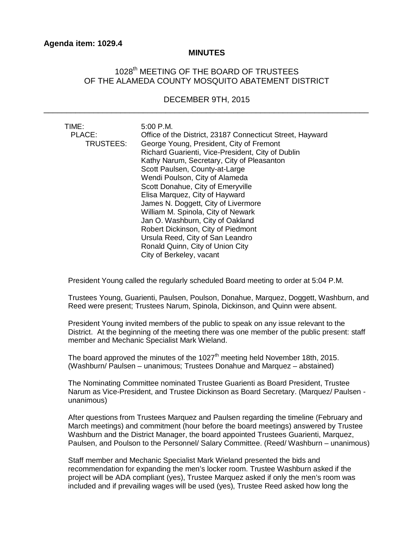## **MINUTES**

## 1028<sup>th</sup> MEETING OF THE BOARD OF TRUSTEES OF THE ALAMEDA COUNTY MOSQUITO ABATEMENT DISTRICT

## DECEMBER 9TH, 2015 \_\_\_\_\_\_\_\_\_\_\_\_\_\_\_\_\_\_\_\_\_\_\_\_\_\_\_\_\_\_\_\_\_\_\_\_\_\_\_\_\_\_\_\_\_\_\_\_\_\_\_\_\_\_\_\_\_\_\_\_\_\_\_\_\_\_\_\_\_\_\_\_

| TIME:<br>PLACE:<br>TRUSTEES: | 5:00 P.M.<br>Office of the District, 23187 Connecticut Street, Hayward<br>George Young, President, City of Fremont<br>Richard Guarienti, Vice-President, City of Dublin<br>Kathy Narum, Secretary, City of Pleasanton<br>Scott Paulsen, County-at-Large<br>Wendi Poulson, City of Alameda<br>Scott Donahue, City of Emeryville<br>Elisa Marquez, City of Hayward |
|------------------------------|------------------------------------------------------------------------------------------------------------------------------------------------------------------------------------------------------------------------------------------------------------------------------------------------------------------------------------------------------------------|
|                              | James N. Doggett, City of Livermore<br>William M. Spinola, City of Newark                                                                                                                                                                                                                                                                                        |
|                              | Jan O. Washburn, City of Oakland                                                                                                                                                                                                                                                                                                                                 |
|                              | Robert Dickinson, City of Piedmont                                                                                                                                                                                                                                                                                                                               |
|                              | Ursula Reed, City of San Leandro                                                                                                                                                                                                                                                                                                                                 |
|                              | Ronald Quinn, City of Union City                                                                                                                                                                                                                                                                                                                                 |
|                              | City of Berkeley, vacant                                                                                                                                                                                                                                                                                                                                         |

President Young called the regularly scheduled Board meeting to order at 5:04 P.M.

Trustees Young, Guarienti, Paulsen, Poulson, Donahue, Marquez, Doggett, Washburn, and Reed were present; Trustees Narum, Spinola, Dickinson, and Quinn were absent.

President Young invited members of the public to speak on any issue relevant to the District. At the beginning of the meeting there was one member of the public present: staff member and Mechanic Specialist Mark Wieland.

The board approved the minutes of the  $1027<sup>th</sup>$  meeting held November 18th, 2015. (Washburn/ Paulsen – unanimous; Trustees Donahue and Marquez – abstained)

The Nominating Committee nominated Trustee Guarienti as Board President, Trustee Narum as Vice-President, and Trustee Dickinson as Board Secretary. (Marquez/ Paulsen unanimous)

After questions from Trustees Marquez and Paulsen regarding the timeline (February and March meetings) and commitment (hour before the board meetings) answered by Trustee Washburn and the District Manager, the board appointed Trustees Guarienti, Marquez, Paulsen, and Poulson to the Personnel/ Salary Committee. (Reed/ Washburn – unanimous)

Staff member and Mechanic Specialist Mark Wieland presented the bids and recommendation for expanding the men's locker room. Trustee Washburn asked if the project will be ADA compliant (yes), Trustee Marquez asked if only the men's room was included and if prevailing wages will be used (yes), Trustee Reed asked how long the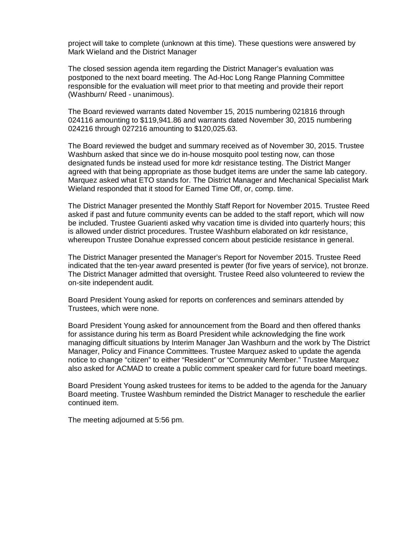project will take to complete (unknown at this time). These questions were answered by Mark Wieland and the District Manager

The closed session agenda item regarding the District Manager's evaluation was postponed to the next board meeting. The Ad-Hoc Long Range Planning Committee responsible for the evaluation will meet prior to that meeting and provide their report (Washburn/ Reed - unanimous).

The Board reviewed warrants dated November 15, 2015 numbering 021816 through 024116 amounting to \$119,941.86 and warrants dated November 30, 2015 numbering 024216 through 027216 amounting to \$120,025.63.

The Board reviewed the budget and summary received as of November 30, 2015. Trustee Washburn asked that since we do in-house mosquito pool testing now, can those designated funds be instead used for more kdr resistance testing. The District Manger agreed with that being appropriate as those budget items are under the same lab category. Marquez asked what ETO stands for. The District Manager and Mechanical Specialist Mark Wieland responded that it stood for Earned Time Off, or, comp. time.

The District Manager presented the Monthly Staff Report for November 2015. Trustee Reed asked if past and future community events can be added to the staff report, which will now be included. Trustee Guarienti asked why vacation time is divided into quarterly hours; this is allowed under district procedures. Trustee Washburn elaborated on kdr resistance, whereupon Trustee Donahue expressed concern about pesticide resistance in general.

The District Manager presented the Manager's Report for November 2015. Trustee Reed indicated that the ten-year award presented is pewter (for five years of service), not bronze. The District Manager admitted that oversight. Trustee Reed also volunteered to review the on-site independent audit.

Board President Young asked for reports on conferences and seminars attended by Trustees, which were none.

Board President Young asked for announcement from the Board and then offered thanks for assistance during his term as Board President while acknowledging the fine work managing difficult situations by Interim Manager Jan Washburn and the work by The District Manager, Policy and Finance Committees. Trustee Marquez asked to update the agenda notice to change "citizen" to either "Resident" or "Community Member." Trustee Marquez also asked for ACMAD to create a public comment speaker card for future board meetings.

Board President Young asked trustees for items to be added to the agenda for the January Board meeting. Trustee Washburn reminded the District Manager to reschedule the earlier continued item.

The meeting adjourned at 5:56 pm.